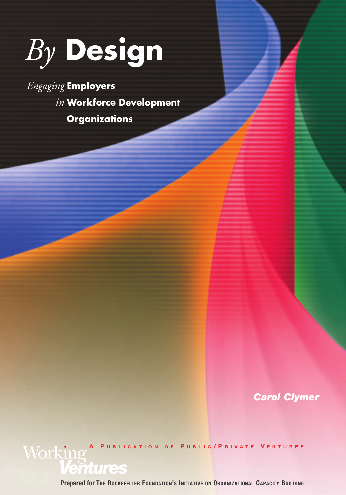

*Engaging* **Employers**

*in* **Workforce Development** 

**Organizations**

*Carol Clymer*

Working A PUBLICATION OF PUBLIC/PRIVATE VENTURES

**Prepared for THE ROCKEFELLER FOUNDATION'S INITIATIVE ON ORGANIZATIONAL CAPACITY BUILDING**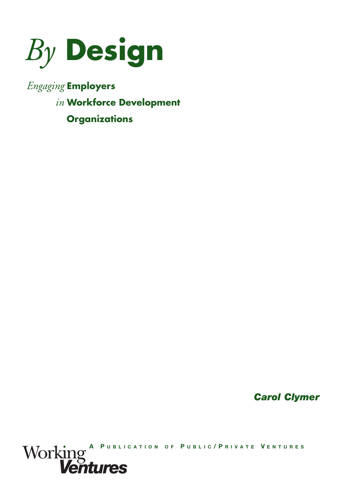

*Engaging* **Employers**

*in* **Workforce Development** 

**Organizations**

*Carol Clymer*

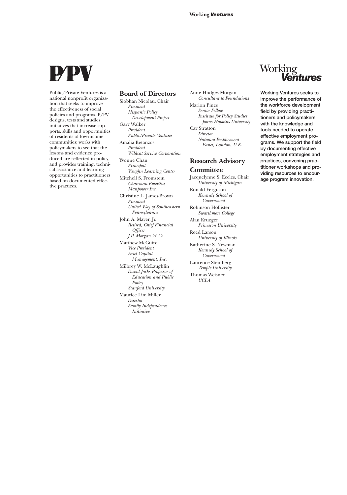

Public/Private Ventures is a national nonprofit organization that seeks to improve the effectiveness of social policies and programs. P/PV designs, tests and studies initiatives that increase supports, skills and opportunities of residents of low-income communities; works with policymakers to see that the lessons and evidence produced are reflected in policy; and provides training, technical assistance and learning opportunities to practitioners based on documented effective practices.

#### **Board of Directors**

Siobhan Nicolau, Chair *President Hispanic Policy Development Project* Gary Walker *President Public/Private Ventures* Amalia Betanzos *President Wildcat Service Corporation* Yvonne Chan *Principal Vaughn Learning Center* Mitchell S. Fromstein *Chairman Emeritus Manpower Inc.* Christine L. James-Brown *President United Way of Southeastern Pennsylvania* John A. Mayer, Jr. *Retired, Chief Financial Officer J.P. Morgan & Co.* Matthew McGuire *Vice President Ariel Capital Management, Inc.* Milbrey W. McLaughlin *David Jacks Professor of Education and Public Policy Stanford University* Maurice Lim Miller *Director Family Independence Initiative*

Anne Hodges Morgan *Consultant to Foundations* Marion Pines *Senior Fellow Institute for Policy Studies Johns Hopkins University* Cay Stratton *Director National Employment Panel, London, U.K.*

#### **Research Advisory Committee**

Jacquelynne S. Eccles, Chair *University of Michigan* Ronald Ferguson *Kennedy School of Government* Robinson Hollister *Swarthmore College* Alan Krueger *Princeton University* Reed Larson *University of Illinois* Katherine S. Newman *Kennedy School of Government* Laurence Steinberg *Temple University* Thomas Weisner *UCLA*



Working Ventures seeks to improve the performance of the workforce development field by providing practitioners and policymakers with the knowledge and tools needed to operate effective employment programs. We support the field by documenting effective employment strategies and practices, convening practitioner workshops and providing resources to encourage program innovation.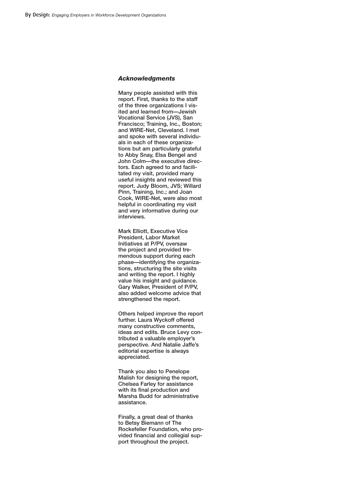#### *Acknowledgments*

Many people assisted with this report. First, thanks to the staff of the three organizations I visited and learned from—Jewish Vocational Service (JVS), San Francisco; Training, Inc., Boston; and WIRE-Net, Cleveland. I met and spoke with several individuals in each of these organizations but am particularly grateful to Abby Snay, Elsa Bengel and John Colm—the executive directors. Each agreed to and facilitated my visit, provided many useful insights and reviewed this report. Judy Bloom, JVS; Willard Pinn, Training, Inc.; and Joan Cook, WIRE-Net, were also most helpful in coordinating my visit and very informative during our interviews.

Mark Elliott, Executive Vice President, Labor Market Initiatives at P/PV, oversaw the project and provided tremendous support during each phase—identifying the organizations, structuring the site visits and writing the report. I highly value his insight and guidance. Gary Walker, President of P/PV, also added welcome advice that strengthened the report.

Others helped improve the report further. Laura Wyckoff offered many constructive comments, ideas and edits. Bruce Levy contributed a valuable employer's perspective. And Natalie Jaffe's editorial expertise is always appreciated.

Thank you also to Penelope Malish for designing the report, Chelsea Farley for assistance with its final production and Marsha Budd for administrative assistance.

Finally, a great deal of thanks to Betsy Biemann of The Rockefeller Foundation, who provided financial and collegial support throughout the project.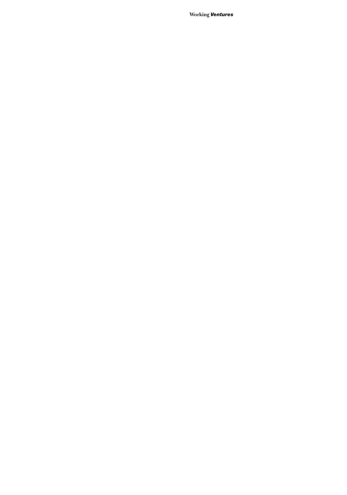**Working** *Ventures By* **Design:** *Engaging* **Employers** *in* **Workforce Development Organizations** 1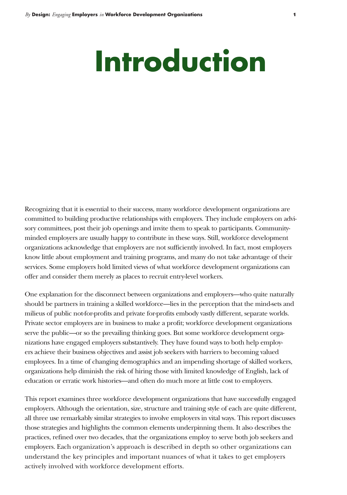## **Introduction**

Recognizing that it is essential to their success, many workforce development organizations are committed to building productive relationships with employers. They include employers on advisory committees, post their job openings and invite them to speak to participants. Communityminded employers are usually happy to contribute in these ways. Still, workforce development organizations acknowledge that employers are not sufficiently involved. In fact, most employers know little about employment and training programs, and many do not take advantage of their services. Some employers hold limited views of what workforce development organizations can offer and consider them merely as places to recruit entry-level workers.

One explanation for the disconnect between organizations and employers—who quite naturally should be partners in training a skilled workforce—lies in the perception that the mind-sets and milieus of public not-for-profits and private for-profits embody vastly different, separate worlds. Private sector employers are in business to make a profit; workforce development organizations serve the public—or so the prevailing thinking goes. But some workforce development organizations have engaged employers substantively. They have found ways to both help employers achieve their business objectives and assist job seekers with barriers to becoming valued employees. In a time of changing demographics and an impending shortage of skilled workers, organizations help diminish the risk of hiring those with limited knowledge of English, lack of education or erratic work histories—and often do much more at little cost to employers.

This report examines three workforce development organizations that have successfully engaged employers. Although the orientation, size, structure and training style of each are quite different, all three use remarkably similar strategies to involve employers in vital ways. This report discusses those strategies and highlights the common elements underpinning them. It also describes the practices, refined over two decades, that the organizations employ to serve both job seekers and employers. Each organization's approach is described in depth so other organizations can understand the key principles and important nuances of what it takes to get employers actively involved with workforce development efforts.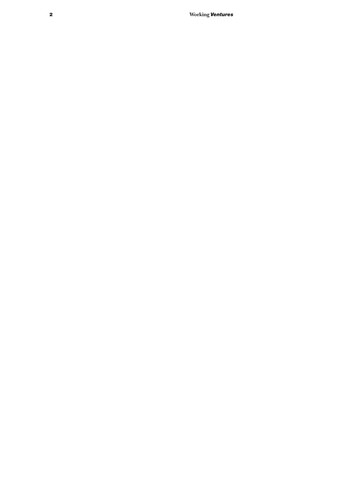**Working** *Ventures By* **Design:** *Engaging* **Employers** *in* **Workforce Development Organizations** 3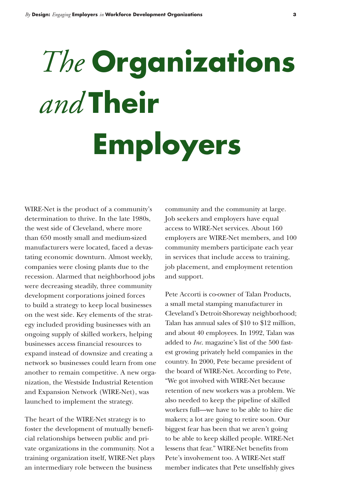# *The* **Organizations**  *and* **Their Employers**

WIRE-Net is the product of a community's determination to thrive. In the late 1980s, the west side of Cleveland, where more than 650 mostly small and medium-sized manufacturers were located, faced a devastating economic downturn. Almost weekly, companies were closing plants due to the recession. Alarmed that neighborhood jobs were decreasing steadily, three community development corporations joined forces to build a strategy to keep local businesses on the west side. Key elements of the strategy included providing businesses with an ongoing supply of skilled workers, helping businesses access financial resources to expand instead of downsize and creating a network so businesses could learn from one another to remain competitive. A new organization, the Westside Industrial Retention and Expansion Network (WIRE-Net), was launched to implement the strategy.

The heart of the WIRE-Net strategy is to foster the development of mutually beneficial relationships between public and private organizations in the community. Not a training organization itself, WIRE-Net plays an intermediary role between the business

community and the community at large. Job seekers and employers have equal access to WIRE-Net services. About 160 employers are WIRE-Net members, and 100 community members participate each year in services that include access to training, job placement, and employment retention and support.

Pete Accorti is co-owner of Talan Products, a small metal stamping manufacturer in Cleveland's Detroit-Shoreway neighborhood; Talan has annual sales of \$10 to \$12 million, and about 40 employees. In 1992, Talan was added to *Inc*. magazine's list of the 500 fastest growing privately held companies in the country. In 2000, Pete became president of the board of WIRE-Net. According to Pete, "We got involved with WIRE-Net because retention of new workers was a problem. We also needed to keep the pipeline of skilled workers full—we have to be able to hire die makers; a lot are going to retire soon. Our biggest fear has been that we aren't going to be able to keep skilled people. WIRE-Net lessens that fear." WIRE-Net benefits from Pete's involvement too. A WIRE-Net staff member indicates that Pete unselfishly gives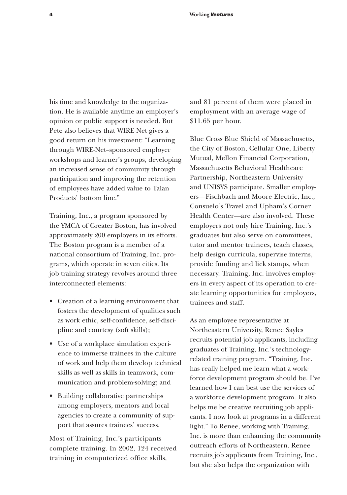his time and knowledge to the organization. He is available anytime an employer's opinion or public support is needed. But Pete also believes that WIRE-Net gives a good return on his investment: "Learning through WIRE-Net–sponsored employer workshops and learner's groups, developing an increased sense of community through participation and improving the retention of employees have added value to Talan Products' bottom line."

Training, Inc., a program sponsored by the YMCA of Greater Boston, has involved approximately 200 employers in its efforts. The Boston program is a member of a national consortium of Training, Inc. programs, which operate in seven cities. Its job training strategy revolves around three interconnected elements:

- Creation of a learning environment that fosters the development of qualities such as work ethic, self-confidence, self-discipline and courtesy (soft skills);
- Use of a workplace simulation experience to immerse trainees in the culture of work and help them develop technical skills as well as skills in teamwork, communication and problem-solving; and
- Building collaborative partnerships among employers, mentors and local agencies to create a community of support that assures trainees' success.

Most of Training, Inc.'s participants complete training. In 2002, 124 received training in computerized office skills,

and 81 percent of them were placed in employment with an average wage of \$11.65 per hour.

Blue Cross Blue Shield of Massachusetts, the City of Boston, Cellular One, Liberty Mutual, Mellon Financial Corporation, Massachusetts Behavioral Healthcare Partnership, Northeastern University and UNISYS participate. Smaller employers—Fischbach and Moore Electric, Inc., Consuelo's Travel and Upham's Corner Health Center—are also involved. These employers not only hire Training, Inc.'s graduates but also serve on committees, tutor and mentor trainees, teach classes, help design curricula, supervise interns, provide funding and lick stamps, when necessary. Training, Inc. involves employers in every aspect of its operation to create learning opportunities for employers, trainees and staff.

As an employee representative at Northeastern University, Renee Sayles recruits potential job applicants, including graduates of Training, Inc.'s technologyrelated training program. "Training, Inc. has really helped me learn what a workforce development program should be. I've learned how I can best use the services of a workforce development program. It also helps me be creative recruiting job applicants. I now look at programs in a different light." To Renee, working with Training, Inc. is more than enhancing the community outreach efforts of Northeastern. Renee recruits job applicants from Training, Inc., but she also helps the organization with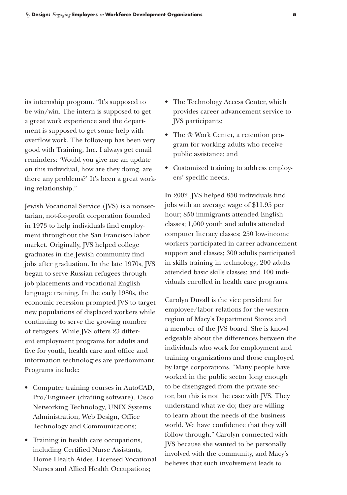its internship program. "It's supposed to be win/win. The intern is supposed to get a great work experience and the department is supposed to get some help with overflow work. The follow-up has been very good with Training, Inc. I always get email reminders: 'Would you give me an update on this individual, how are they doing, are there any problems?' It's been a great working relationship."

Jewish Vocational Service (JVS) is a nonsectarian, not-for-profit corporation founded in 1973 to help individuals find employment throughout the San Francisco labor market. Originally, JVS helped college graduates in the Jewish community find jobs after graduation. In the late 1970s, JVS began to serve Russian refugees through job placements and vocational English language training. In the early 1980s, the economic recession prompted JVS to target new populations of displaced workers while continuing to serve the growing number of refugees. While JVS offers 23 different employment programs for adults and five for youth, health care and office and information technologies are predominant. Programs include:

- Computer training courses in AutoCAD, Pro/Engineer (drafting software), Cisco Networking Technology, UNIX Systems Administration, Web Design, Office Technology and Communications;
- Training in health care occupations, including Certified Nurse Assistants, Home Health Aides, Licensed Vocational Nurses and Allied Health Occupations;
- The Technology Access Center, which provides career advancement service to JVS participants;
- The @ Work Center, a retention program for working adults who receive public assistance; and
- Customized training to address employers' specific needs.

In 2002, JVS helped 850 individuals find jobs with an average wage of \$11.95 per hour; 850 immigrants attended English classes; 1,000 youth and adults attended computer literacy classes; 250 low-income workers participated in career advancement support and classes; 300 adults participated in skills training in technology; 200 adults attended basic skills classes; and 100 individuals enrolled in health care programs.

Carolyn Duvall is the vice president for employee/labor relations for the western region of Macy's Department Stores and a member of the JVS board. She is knowledgeable about the differences between the individuals who work for employment and training organizations and those employed by large corporations. "Many people have worked in the public sector long enough to be disengaged from the private sector, but this is not the case with JVS. They understand what we do; they are willing to learn about the needs of the business world. We have confidence that they will follow through." Carolyn connected with JVS because she wanted to be personally involved with the community, and Macy's believes that such involvement leads to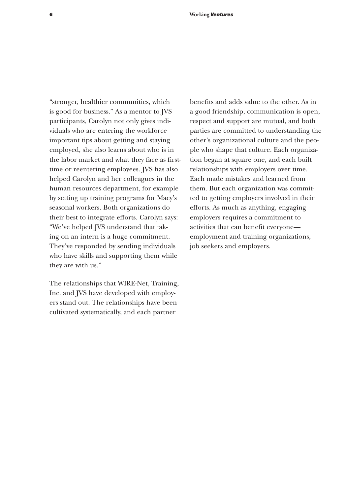"stronger, healthier communities, which is good for business." As a mentor to JVS participants, Carolyn not only gives individuals who are entering the workforce important tips about getting and staying employed, she also learns about who is in the labor market and what they face as firsttime or reentering employees. JVS has also helped Carolyn and her colleagues in the human resources department, for example by setting up training programs for Macy's seasonal workers. Both organizations do their best to integrate efforts. Carolyn says: "We've helped JVS understand that taking on an intern is a huge commitment. They've responded by sending individuals who have skills and supporting them while they are with us."

The relationships that WIRE-Net, Training, Inc. and JVS have developed with employers stand out. The relationships have been cultivated systematically, and each partner

benefits and adds value to the other. As in a good friendship, communication is open, respect and support are mutual, and both parties are committed to understanding the other's organizational culture and the people who shape that culture. Each organization began at square one, and each built relationships with employers over time. Each made mistakes and learned from them. But each organization was committed to getting employers involved in their efforts. As much as anything, engaging employers requires a commitment to activities that can benefit everyone employment and training organizations, job seekers and employers.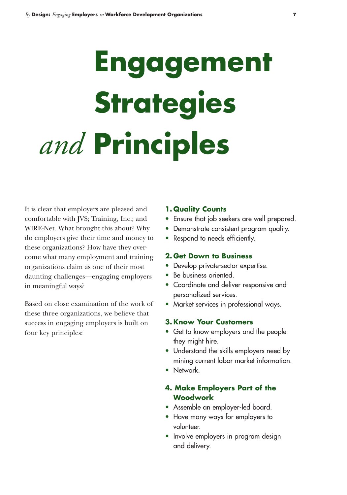# **Engagement Strategies** *and* **Principles**

It is clear that employers are pleased and comfortable with JVS; Training, Inc.; and WIRE-Net. What brought this about? Why do employers give their time and money to these organizations? How have they overcome what many employment and training organizations claim as one of their most daunting challenges—engaging employers in meaningful ways?

Based on close examination of the work of these three organizations, we believe that success in engaging employers is built on four key principles:

#### **1. Quality Counts**

- Ensure that job seekers are well prepared.
- Demonstrate consistent program quality.
- Respond to needs efficiently.

#### **2. Get Down to Business**

- Develop private-sector expertise.
- Be business oriented.
- Coordinate and deliver responsive and personalized services.
- Market services in professional ways.

#### **3. Know Your Customers**

- Get to know employers and the people they might hire.
- Understand the skills employers need by mining current labor market information.
- Network.

#### **4. Make Employers Part of the Woodwork**

- Assemble an employer-led board.
- Have many ways for employers to volunteer.
- Involve employers in program design and delivery.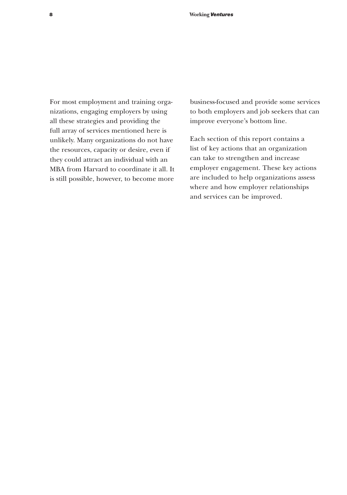For most employment and training organizations, engaging employers by using all these strategies and providing the full array of services mentioned here is unlikely. Many organizations do not have the resources, capacity or desire, even if they could attract an individual with an MBA from Harvard to coordinate it all. It is still possible, however, to become more

business-focused and provide some services to both employers and job seekers that can improve everyone's bottom line.

Each section of this report contains a list of key actions that an organization can take to strengthen and increase employer engagement. These key actions are included to help organizations assess where and how employer relationships and services can be improved.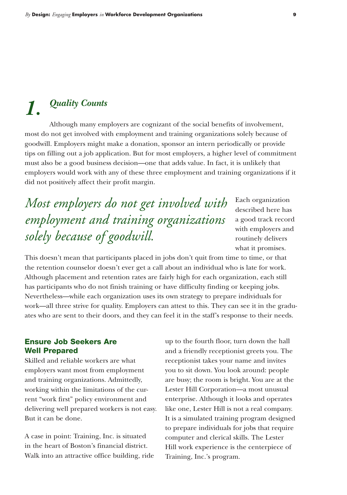## *1. Quality Counts*

Although many employers are cognizant of the social benefits of involvement, most do not get involved with employment and training organizations solely because of goodwill. Employers might make a donation, sponsor an intern periodically or provide tips on filling out a job application. But for most employers, a higher level of commitment must also be a good business decision—one that adds value. In fact, it is unlikely that employers would work with any of these three employment and training organizations if it did not positively affect their profit margin.

### *Most employers do not get involved with employment and training organizations solely because of goodwill.*

Each organization described here has a good track record with employers and routinely delivers what it promises.

This doesn't mean that participants placed in jobs don't quit from time to time, or that the retention counselor doesn't ever get a call about an individual who is late for work. Although placement and retention rates are fairly high for each organization, each still has participants who do not finish training or have difficulty finding or keeping jobs. Nevertheless—while each organization uses its own strategy to prepare individuals for work—all three strive for quality. Employers can attest to this. They can see it in the graduates who are sent to their doors, and they can feel it in the staff's response to their needs.

#### Ensure Job Seekers Are Well Prepared

Skilled and reliable workers are what employers want most from employment and training organizations. Admittedly, working within the limitations of the current "work first" policy environment and delivering well prepared workers is not easy. But it can be done.

A case in point: Training, Inc. is situated in the heart of Boston's financial district. Walk into an attractive office building, ride

up to the fourth floor, turn down the hall and a friendly receptionist greets you. The receptionist takes your name and invites you to sit down. You look around: people are busy; the room is bright. You are at the Lester Hill Corporation—a most unusual enterprise. Although it looks and operates like one, Lester Hill is not a real company. It is a simulated training program designed to prepare individuals for jobs that require computer and clerical skills. The Lester Hill work experience is the centerpiece of Training, Inc.'s program.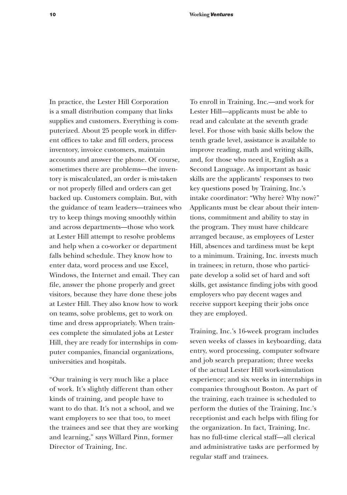In practice, the Lester Hill Corporation is a small distribution company that links supplies and customers. Everything is computerized. About 25 people work in different offices to take and fill orders, process inventory, invoice customers, maintain accounts and answer the phone. Of course, sometimes there are problems—the inventory is miscalculated, an order is mis-taken or not properly filled and orders can get backed up. Customers complain. But, with the guidance of team leaders—trainees who try to keep things moving smoothly within and across departments—those who work at Lester Hill attempt to resolve problems and help when a co-worker or department falls behind schedule. They know how to enter data, word process and use Excel, Windows, the Internet and email. They can file, answer the phone properly and greet visitors, because they have done these jobs at Lester Hill. They also know how to work on teams, solve problems, get to work on time and dress appropriately. When trainees complete the simulated jobs at Lester Hill, they are ready for internships in computer companies, financial organizations, universities and hospitals.

"Our training is very much like a place of work. It's slightly different than other kinds of training, and people have to want to do that. It's not a school, and we want employers to see that too, to meet the trainees and see that they are working and learning," says Willard Pinn, former Director of Training, Inc.

To enroll in Training, Inc.—and work for Lester Hill—applicants must be able to read and calculate at the seventh grade level. For those with basic skills below the tenth grade level, assistance is available to improve reading, math and writing skills, and, for those who need it, English as a Second Language. As important as basic skills are the applicants' responses to two key questions posed by Training, Inc.'s intake coordinator: "Why here? Why now?" Applicants must be clear about their intentions, commitment and ability to stay in the program. They must have childcare arranged because, as employees of Lester Hill, absences and tardiness must be kept to a minimum. Training, Inc. invests much in trainees; in return, those who participate develop a solid set of hard and soft skills, get assistance finding jobs with good employers who pay decent wages and receive support keeping their jobs once they are employed.

Training, Inc.'s 16-week program includes seven weeks of classes in keyboarding, data entry, word processing, computer software and job search preparation; three weeks of the actual Lester Hill work-simulation experience; and six weeks in internships in companies throughout Boston. As part of the training, each trainee is scheduled to perform the duties of the Training, Inc.'s receptionist and each helps with filing for the organization. In fact, Training, Inc. has no full-time clerical staff—all clerical and administrative tasks are performed by regular staff and trainees.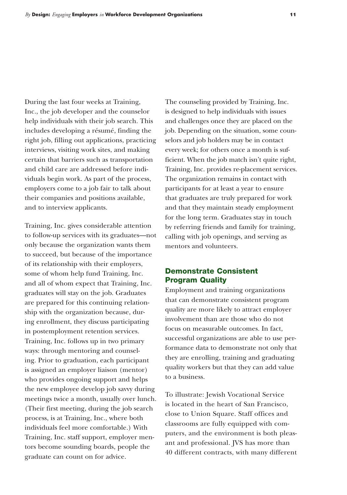During the last four weeks at Training, Inc., the job developer and the counselor help individuals with their job search. This includes developing a résumé, finding the right job, filling out applications, practicing interviews, visiting work sites, and making certain that barriers such as transportation and child care are addressed before individuals begin work. As part of the process, employers come to a job fair to talk about their companies and positions available, and to interview applicants.

Training, Inc. gives considerable attention to follow-up services with its graduates—not only because the organization wants them to succeed, but because of the importance of its relationship with their employers, some of whom help fund Training, Inc. and all of whom expect that Training, Inc. graduates will stay on the job. Graduates are prepared for this continuing relationship with the organization because, during enrollment, they discuss participating in postemployment retention services. Training, Inc. follows up in two primary ways: through mentoring and counseling. Prior to graduation, each participant is assigned an employer liaison (mentor) who provides ongoing support and helps the new employee develop job savvy during meetings twice a month, usually over lunch. (Their first meeting, during the job search process, is at Training, Inc., where both individuals feel more comfortable.) With Training, Inc. staff support, employer mentors become sounding boards, people the graduate can count on for advice.

The counseling provided by Training, Inc. is designed to help individuals with issues and challenges once they are placed on the job. Depending on the situation, some counselors and job holders may be in contact every week; for others once a month is sufficient. When the job match isn't quite right, Training, Inc. provides re-placement services. The organization remains in contact with participants for at least a year to ensure that graduates are truly prepared for work and that they maintain steady employment for the long term. Graduates stay in touch by referring friends and family for training, calling with job openings, and serving as mentors and volunteers.

#### Demonstrate Consistent Program Quality

Employment and training organizations that can demonstrate consistent program quality are more likely to attract employer involvement than are those who do not focus on measurable outcomes. In fact, successful organizations are able to use performance data to demonstrate not only that they are enrolling, training and graduating quality workers but that they can add value to a business.

To illustrate: Jewish Vocational Service is located in the heart of San Francisco, close to Union Square. Staff offices and classrooms are fully equipped with computers, and the environment is both pleasant and professional. JVS has more than 40 different contracts, with many different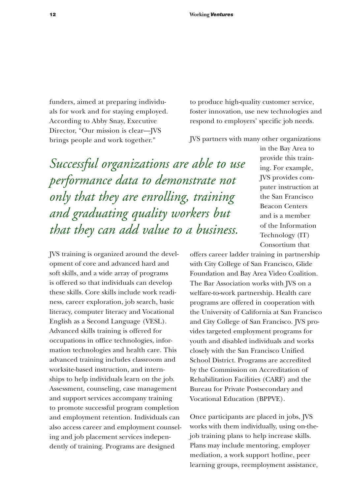funders, aimed at preparing individuals for work and for staying employed. According to Abby Snay, Executive Director, "Our mission is clear—JVS brings people and work together."

to produce high-quality customer service, foster innovation, use new technologies and respond to employers' specific job needs.

JVS partners with many other organizations

*Successful organizations are able to use performance data to demonstrate not only that they are enrolling, training and graduating quality workers but that they can add value to a business.*

JVS training is organized around the development of core and advanced hard and soft skills, and a wide array of programs is offered so that individuals can develop these skills. Core skills include work readiness, career exploration, job search, basic literacy, computer literacy and Vocational English as a Second Language (VESL). Advanced skills training is offered for occupations in office technologies, information technologies and health care. This advanced training includes classroom and worksite-based instruction, and internships to help individuals learn on the job. Assessment, counseling, case management and support services accompany training to promote successful program completion and employment retention. Individuals can also access career and employment counseling and job placement services independently of training. Programs are designed

in the Bay Area to provide this training. For example, JVS provides computer instruction at the San Francisco Beacon Centers and is a member of the Information Technology (IT) Consortium that

offers career ladder training in partnership with City College of San Francisco, Glide Foundation and Bay Area Video Coalition. The Bar Association works with JVS on a welfare-to-work partnership. Health care programs are offered in cooperation with the University of California at San Francisco and City College of San Francisco. JVS provides targeted employment programs for youth and disabled individuals and works closely with the San Francisco Unified School District. Programs are accredited by the Commission on Accreditation of Rehabilitation Facilities (CARF) and the Bureau for Private Postsecondary and Vocational Education (BPPVE).

Once participants are placed in jobs, JVS works with them individually, using on-thejob training plans to help increase skills. Plans may include mentoring, employer mediation, a work support hotline, peer learning groups, reemployment assistance,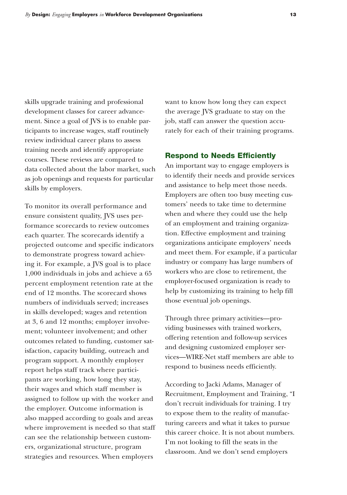skills upgrade training and professional development classes for career advancement. Since a goal of JVS is to enable participants to increase wages, staff routinely review individual career plans to assess training needs and identify appropriate courses. These reviews are compared to data collected about the labor market, such as job openings and requests for particular skills by employers.

To monitor its overall performance and ensure consistent quality, JVS uses performance scorecards to review outcomes each quarter. The scorecards identify a projected outcome and specific indicators to demonstrate progress toward achieving it. For example, a JVS goal is to place 1,000 individuals in jobs and achieve a 65 percent employment retention rate at the end of 12 months. The scorecard shows numbers of individuals served; increases in skills developed; wages and retention at 3, 6 and 12 months; employer involvement; volunteer involvement; and other outcomes related to funding, customer satisfaction, capacity building, outreach and program support. A monthly employer report helps staff track where participants are working, how long they stay, their wages and which staff member is assigned to follow up with the worker and the employer. Outcome information is also mapped according to goals and areas where improvement is needed so that staff can see the relationship between customers, organizational structure, program strategies and resources. When employers

want to know how long they can expect the average JVS graduate to stay on the job, staff can answer the question accurately for each of their training programs.

#### Respond to Needs Efficiently

An important way to engage employers is to identify their needs and provide services and assistance to help meet those needs. Employers are often too busy meeting customers' needs to take time to determine when and where they could use the help of an employment and training organization. Effective employment and training organizations anticipate employers' needs and meet them. For example, if a particular industry or company has large numbers of workers who are close to retirement, the employer-focused organization is ready to help by customizing its training to help fill those eventual job openings.

Through three primary activities—providing businesses with trained workers, offering retention and follow-up services and designing customized employer services—WIRE-Net staff members are able to respond to business needs efficiently.

According to Jacki Adams, Manager of Recruitment, Employment and Training, "I don't recruit individuals for training. I try to expose them to the reality of manufacturing careers and what it takes to pursue this career choice. It is not about numbers. I'm not looking to fill the seats in the classroom. And we don't send employers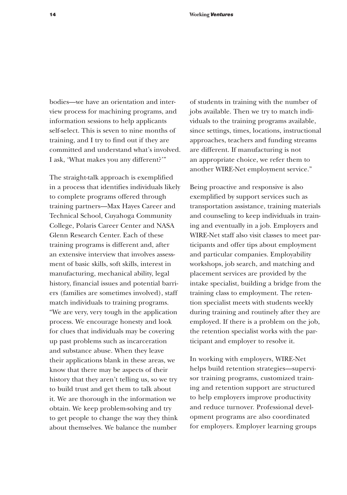bodies—we have an orientation and interview process for machining programs, and information sessions to help applicants self-select. This is seven to nine months of training, and I try to find out if they are committed and understand what's involved. I ask, 'What makes you any different?'"

The straight-talk approach is exemplified in a process that identifies individuals likely to complete programs offered through training partners—Max Hayes Career and Technical School, Cuyahoga Community College, Polaris Career Center and NASA Glenn Research Center. Each of these training programs is different and, after an extensive interview that involves assessment of basic skills, soft skills, interest in manufacturing, mechanical ability, legal history, financial issues and potential barriers (families are sometimes involved), staff match individuals to training programs. "We are very, very tough in the application process. We encourage honesty and look for clues that individuals may be covering up past problems such as incarceration and substance abuse. When they leave their applications blank in these areas, we know that there may be aspects of their history that they aren't telling us, so we try to build trust and get them to talk about it. We are thorough in the information we obtain. We keep problem-solving and try to get people to change the way they think about themselves. We balance the number

of students in training with the number of jobs available. Then we try to match individuals to the training programs available, since settings, times, locations, instructional approaches, teachers and funding streams are different. If manufacturing is not an appropriate choice, we refer them to another WIRE-Net employment service."

Being proactive and responsive is also exemplified by support services such as transportation assistance, training materials and counseling to keep individuals in training and eventually in a job. Employers and WIRE-Net staff also visit classes to meet participants and offer tips about employment and particular companies. Employability workshops, job search, and matching and placement services are provided by the intake specialist, building a bridge from the training class to employment. The retention specialist meets with students weekly during training and routinely after they are employed. If there is a problem on the job, the retention specialist works with the participant and employer to resolve it.

In working with employers, WIRE-Net helps build retention strategies—supervisor training programs, customized training and retention support are structured to help employers improve productivity and reduce turnover. Professional development programs are also coordinated for employers. Employer learning groups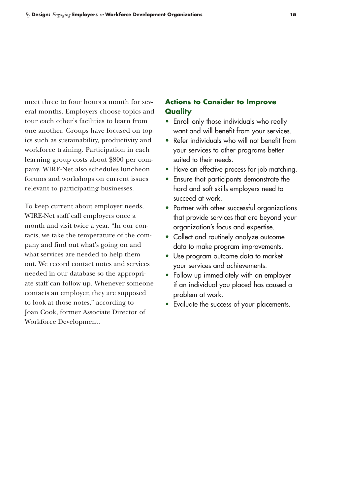meet three to four hours a month for several months. Employers choose topics and tour each other's facilities to learn from one another. Groups have focused on topics such as sustainability, productivity and workforce training. Participation in each learning group costs about \$800 per company. WIRE-Net also schedules luncheon forums and workshops on current issues relevant to participating businesses.

To keep current about employer needs, WIRE-Net staff call employers once a month and visit twice a year. "In our contacts, we take the temperature of the company and find out what's going on and what services are needed to help them out. We record contact notes and services needed in our database so the appropriate staff can follow up. Whenever someone contacts an employer, they are supposed to look at those notes," according to Joan Cook, former Associate Director of Workforce Development.

#### **Actions to Consider to Improve Quality**

- Enroll only those individuals who really want and will benefit from your services.
- Refer individuals who will not benefit from your services to other programs better suited to their needs.
- Have an effective process for job matching.
- Ensure that participants demonstrate the hard and soft skills employers need to succeed at work.
- Partner with other successful organizations that provide services that are beyond your organization's focus and expertise.
- Collect and routinely analyze outcome data to make program improvements.
- Use program outcome data to market your services and achievements.
- Follow up immediately with an employer if an individual you placed has caused a problem at work.
- Evaluate the success of your placements.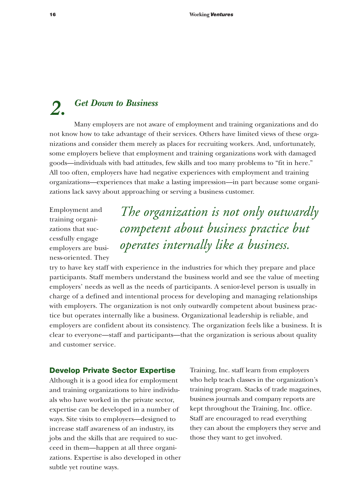### *2. Get Down to Business*

Many employers are not aware of employment and training organizations and do not know how to take advantage of their services. Others have limited views of these organizations and consider them merely as places for recruiting workers. And, unfortunately, some employers believe that employment and training organizations work with damaged goods—individuals with bad attitudes, few skills and too many problems to "fit in here." All too often, employers have had negative experiences with employment and training organizations—experiences that make a lasting impression—in part because some organizations lack savvy about approaching or serving a business customer.

Employment and training organizations that successfully engage employers are business-oriented. They

*The organization is not only outwardly competent about business practice but operates internally like a business.* 

try to have key staff with experience in the industries for which they prepare and place participants. Staff members understand the business world and see the value of meeting employers' needs as well as the needs of participants. A senior-level person is usually in charge of a defined and intentional process for developing and managing relationships with employers. The organization is not only outwardly competent about business practice but operates internally like a business. Organizational leadership is reliable, and employers are confident about its consistency. The organization feels like a business. It is clear to everyone—staff and participants—that the organization is serious about quality and customer service.

#### Develop Private Sector Expertise

Although it is a good idea for employment and training organizations to hire individuals who have worked in the private sector, expertise can be developed in a number of ways. Site visits to employers—designed to increase staff awareness of an industry, its jobs and the skills that are required to succeed in them—happen at all three organizations. Expertise is also developed in other subtle yet routine ways.

Training, Inc. staff learn from employers who help teach classes in the organization's training program. Stacks of trade magazines, business journals and company reports are kept throughout the Training, Inc. office. Staff are encouraged to read everything they can about the employers they serve and those they want to get involved.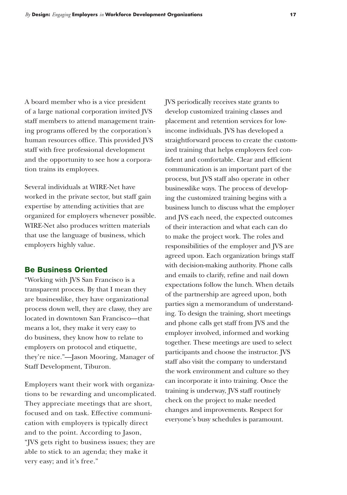A board member who is a vice president of a large national corporation invited JVS staff members to attend management training programs offered by the corporation's human resources office. This provided JVS staff with free professional development and the opportunity to see how a corporation trains its employees.

Several individuals at WIRE-Net have worked in the private sector, but staff gain expertise by attending activities that are organized for employers whenever possible. WIRE-Net also produces written materials that use the language of business, which employers highly value.

#### Be Business Oriented

"Working with JVS San Francisco is a transparent process. By that I mean they are businesslike, they have organizational process down well, they are classy, they are located in downtown San Francisco—that means a lot, they make it very easy to do business, they know how to relate to employers on protocol and etiquette, they're nice."—Jason Mooring, Manager of Staff Development, Tiburon.

Employers want their work with organizations to be rewarding and uncomplicated. They appreciate meetings that are short, focused and on task. Effective communication with employers is typically direct and to the point. According to Jason, "JVS gets right to business issues; they are able to stick to an agenda; they make it very easy; and it's free."

JVS periodically receives state grants to develop customized training classes and placement and retention services for lowincome individuals. JVS has developed a straightforward process to create the customized training that helps employers feel confident and comfortable. Clear and efficient communication is an important part of the process, but JVS staff also operate in other businesslike ways. The process of developing the customized training begins with a business lunch to discuss what the employer and JVS each need, the expected outcomes of their interaction and what each can do to make the project work. The roles and responsibilities of the employer and JVS are agreed upon. Each organization brings staff with decision-making authority. Phone calls and emails to clarify, refine and nail down expectations follow the lunch. When details of the partnership are agreed upon, both parties sign a memorandum of understanding. To design the training, short meetings and phone calls get staff from JVS and the employer involved, informed and working together. These meetings are used to select participants and choose the instructor. JVS staff also visit the company to understand the work environment and culture so they can incorporate it into training. Once the training is underway, JVS staff routinely check on the project to make needed changes and improvements. Respect for everyone's busy schedules is paramount.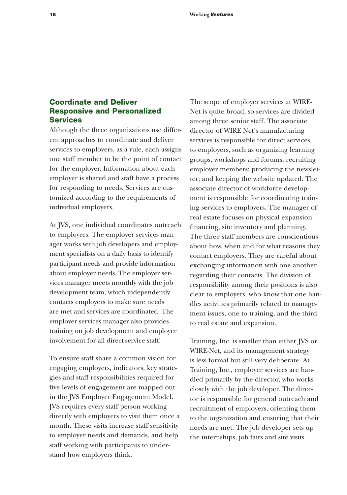#### Coordinate and Deliver Responsive and Personalized **Services**

Although the three organizations use different approaches to coordinate and deliver services to employers, as a rule, each assigns one staff member to be the point of contact for the employer. Information about each employer is shared and staff have a process for responding to needs. Services are customized according to the requirements of individual employers.

At JVS, one individual coordinates outreach to employers. The employer services manager works with job developers and employment specialists on a daily basis to identify participant needs and provide information about employer needs. The employer services manager meets monthly with the job development team, which independently contacts employers to make sure needs are met and services are coordinated. The employer services manager also provides training on job development and employer involvement for all direct-service staff.

To ensure staff share a common vision for engaging employers, indicators, key strategies and staff responsibilities required for five levels of engagement are mapped out in the JVS Employer Engagement Model. JVS requires every staff person working directly with employers to visit them once a month. These visits increase staff sensitivity to employer needs and demands, and help staff working with participants to understand how employers think.

The scope of employer services at WIRE-Net is quite broad, so services are divided among three senior staff. The associate director of WIRE-Net's manufacturing services is responsible for direct services to employers, such as organizing learning groups, workshops and forums; recruiting employer members; producing the newsletter; and keeping the website updated. The associate director of workforce development is responsible for coordinating training services to employers. The manager of real estate focuses on physical expansion financing, site inventory and planning. The three staff members are conscientious about how, when and for what reasons they contact employers. They are careful about exchanging information with one another regarding their contacts. The division of responsibility among their positions is also clear to employers, who know that one handles activities primarily related to management issues, one to training, and the third to real estate and expansion.

Training, Inc. is smaller than either JVS or WIRE-Net, and its management strategy is less formal but still very deliberate. At Training, Inc., employer services are handled primarily by the director, who works closely with the job developer. The director is responsible for general outreach and recruitment of employers, orienting them to the organization and ensuring that their needs are met. The job developer sets up the internships, job fairs and site visits.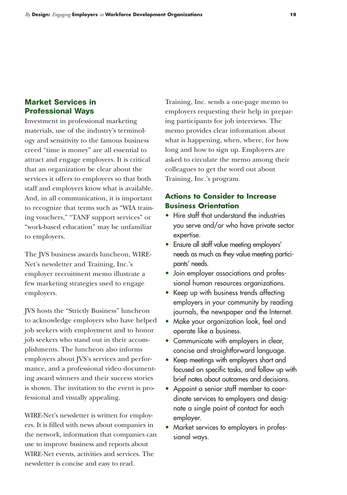#### Market Services in Professional Ways

Investment in professional marketing materials, use of the industry's terminology and sensitivity to the famous business creed "time is money" are all essential to attract and engage employers. It is critical that an organization be clear about the services it offers to employers so that both staff and employers know what is available. And, in all communication, it is important to recognize that terms such as "WIA training vouchers," "TANF support services" or "work-based education" may be unfamiliar to employers.

The JVS business awards luncheon, WIRE-Net's newsletter and Training, Inc.'s employer recruitment memo illustrate a few marketing strategies used to engage employers.

JVS hosts the "Strictly Business" luncheon to acknowledge employers who have helped job seekers with employment and to honor job seekers who stand out in their accomplishments. The luncheon also informs employers about JVS's services and performance, and a professional video documenting award winners and their success stories is shown. The invitation to the event is professional and visually appealing.

WIRE-Net's newsletter is written for employers. It is filled with news about companies in the network, information that companies can use to improve business and reports about WIRE-Net events, activities and services. The newsletter is concise and easy to read.

Training, Inc. sends a one-page memo to employers requesting their help in preparing participants for job interviews. The memo provides clear information about what is happening, when, where, for how long and how to sign up. Employers are asked to circulate the memo among their colleagues to get the word out about Training, Inc.'s program.

#### **Actions to Consider to Increase Business Orientation**

- Hire staff that understand the industries you serve and/or who have private sector expertise.
- Ensure all staff value meeting employers' needs as much as they value meeting participants' needs.
- Join employer associations and professional human resources organizations.
- Keep up with business trends affecting employers in your community by reading journals, the newspaper and the Internet.
- Make your organization look, feel and operate like a business.
- Communicate with employers in clear, concise and straightforward language.
- Keep meetings with employers short and focused on specific tasks, and follow up with brief notes about outcomes and decisions.
- Appoint a senior staff member to coordinate services to employers and designate a single point of contact for each employer.
- Market services to employers in professional ways.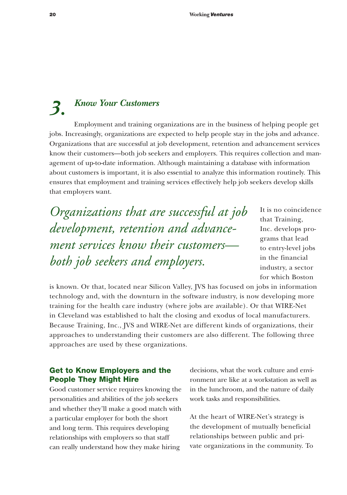## *3. Know Your Customers*

Employment and training organizations are in the business of helping people get jobs. Increasingly, organizations are expected to help people stay in the jobs and advance. Organizations that are successful at job development, retention and advancement services know their customers—both job seekers and employers. This requires collection and management of up-to-date information. Although maintaining a database with information about customers is important, it is also essential to analyze this information routinely. This ensures that employment and training services effectively help job seekers develop skills that employers want.

*Organizations that are successful at job development, retention and advancement services know their customers both job seekers and employers.*

It is no coincidence that Training, Inc. develops programs that lead to entry-level jobs in the financial industry, a sector for which Boston

is known. Or that, located near Silicon Valley, JVS has focused on jobs in information technology and, with the downturn in the software industry, is now developing more training for the health care industry (where jobs are available). Or that WIRE-Net in Cleveland was established to halt the closing and exodus of local manufacturers. Because Training, Inc., JVS and WIRE-Net are different kinds of organizations, their approaches to understanding their customers are also different. The following three approaches are used by these organizations.

#### Get to Know Employers and the People They Might Hire

Good customer service requires knowing the personalities and abilities of the job seekers and whether they'll make a good match with a particular employer for both the short and long term. This requires developing relationships with employers so that staff can really understand how they make hiring

decisions, what the work culture and environment are like at a workstation as well as in the lunchroom, and the nature of daily work tasks and responsibilities.

At the heart of WIRE-Net's strategy is the development of mutually beneficial relationships between public and private organizations in the community. To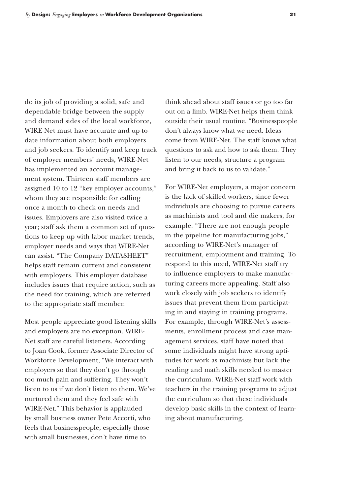do its job of providing a solid, safe and dependable bridge between the supply and demand sides of the local workforce, WIRE-Net must have accurate and up-todate information about both employers and job seekers. To identify and keep track of employer members' needs, WIRE-Net has implemented an account management system. Thirteen staff members are assigned 10 to 12 "key employer accounts," whom they are responsible for calling once a month to check on needs and issues. Employers are also visited twice a year; staff ask them a common set of questions to keep up with labor market trends, employer needs and ways that WIRE-Net can assist. "The Company DATASHEET" helps staff remain current and consistent with employers. This employer database includes issues that require action, such as the need for training, which are referred to the appropriate staff member.

Most people appreciate good listening skills and employers are no exception. WIRE-Net staff are careful listeners. According to Joan Cook, former Associate Director of Workforce Development, "We interact with employers so that they don't go through too much pain and suffering. They won't listen to us if we don't listen to them. We've nurtured them and they feel safe with WIRE-Net." This behavior is applauded by small business owner Pete Accorti, who feels that businesspeople, especially those with small businesses, don't have time to

think ahead about staff issues or go too far out on a limb. WIRE-Net helps them think outside their usual routine. "Businesspeople don't always know what we need. Ideas come from WIRE-Net. The staff knows what questions to ask and how to ask them. They listen to our needs, structure a program and bring it back to us to validate."

For WIRE-Net employers, a major concern is the lack of skilled workers, since fewer individuals are choosing to pursue careers as machinists and tool and die makers, for example. "There are not enough people in the pipeline for manufacturing jobs," according to WIRE-Net's manager of recruitment, employment and training. To respond to this need, WIRE-Net staff try to influence employers to make manufacturing careers more appealing. Staff also work closely with job seekers to identify issues that prevent them from participating in and staying in training programs. For example, through WIRE-Net's assessments, enrollment process and case management services, staff have noted that some individuals might have strong aptitudes for work as machinists but lack the reading and math skills needed to master the curriculum. WIRE-Net staff work with teachers in the training programs to adjust the curriculum so that these individuals develop basic skills in the context of learning about manufacturing.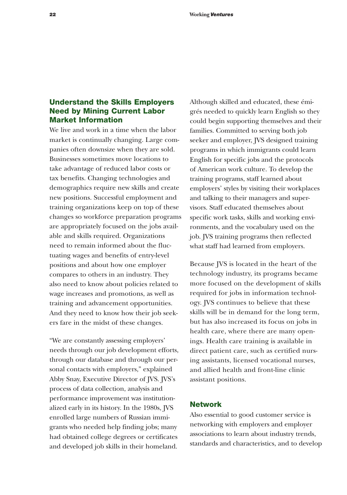#### Understand the Skills Employers Need by Mining Current Labor Market Information

We live and work in a time when the labor market is continually changing. Large companies often downsize when they are sold. Businesses sometimes move locations to take advantage of reduced labor costs or tax benefits. Changing technologies and demographics require new skills and create new positions. Successful employment and training organizations keep on top of these changes so workforce preparation programs are appropriately focused on the jobs available and skills required. Organizations need to remain informed about the fluctuating wages and benefits of entry-level positions and about how one employer compares to others in an industry. They also need to know about policies related to wage increases and promotions, as well as training and advancement opportunities. And they need to know how their job seekers fare in the midst of these changes.

"We are constantly assessing employers' needs through our job development efforts, through our database and through our personal contacts with employers," explained Abby Snay, Executive Director of JVS. JVS's process of data collection, analysis and performance improvement was institutionalized early in its history. In the 1980s, JVS enrolled large numbers of Russian immigrants who needed help finding jobs; many had obtained college degrees or certificates and developed job skills in their homeland.

Although skilled and educated, these émigrés needed to quickly learn English so they could begin supporting themselves and their families. Committed to serving both job seeker and employer, JVS designed training programs in which immigrants could learn English for specific jobs and the protocols of American work culture. To develop the training programs, staff learned about employers' styles by visiting their workplaces and talking to their managers and supervisors. Staff educated themselves about specific work tasks, skills and working environments, and the vocabulary used on the job. JVS training programs then reflected what staff had learned from employers.

Because JVS is located in the heart of the technology industry, its programs became more focused on the development of skills required for jobs in information technology. JVS continues to believe that these skills will be in demand for the long term, but has also increased its focus on jobs in health care, where there are many openings. Health care training is available in direct patient care, such as certified nursing assistants, licensed vocational nurses, and allied health and front-line clinic assistant positions.

#### Network

Also essential to good customer service is networking with employers and employer associations to learn about industry trends, standards and characteristics, and to develop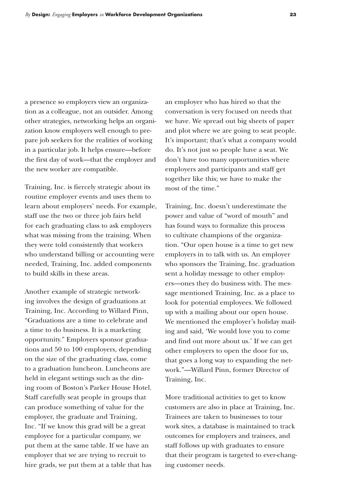a presence so employers view an organization as a colleague, not an outsider. Among other strategies, networking helps an organization know employers well enough to prepare job seekers for the realities of working in a particular job. It helps ensure—before the first day of work—that the employer and the new worker are compatible.

Training, Inc. is fiercely strategic about its routine employer events and uses them to learn about employers' needs. For example, staff use the two or three job fairs held for each graduating class to ask employers what was missing from the training. When they were told consistently that workers who understand billing or accounting were needed, Training, Inc. added components to build skills in these areas.

Another example of strategic networking involves the design of graduations at Training, Inc. According to Willard Pinn, "Graduations are a time to celebrate and a time to do business. It is a marketing opportunity." Employers sponsor graduations and 50 to 100 employers, depending on the size of the graduating class, come to a graduation luncheon. Luncheons are held in elegant settings such as the dining room of Boston's Parker House Hotel. Staff carefully seat people in groups that can produce something of value for the employer, the graduate and Training, Inc. "If we know this grad will be a great employee for a particular company, we put them at the same table. If we have an employer that we are trying to recruit to hire grads, we put them at a table that has

an employer who has hired so that the conversation is very focused on needs that we have. We spread out big sheets of paper and plot where we are going to seat people. It's important; that's what a company would do. It's not just so people have a seat. We don't have too many opportunities where employers and participants and staff get together like this; we have to make the most of the time."

Training, Inc. doesn't underestimate the power and value of "word of mouth" and has found ways to formalize this process to cultivate champions of the organization. "Our open house is a time to get new employers in to talk with us. An employer who sponsors the Training, Inc. graduation sent a holiday message to other employers—ones they do business with. The message mentioned Training, Inc. as a place to look for potential employees. We followed up with a mailing about our open house. We mentioned the employer's holiday mailing and said, 'We would love you to come and find out more about us.' If we can get other employers to open the door for us, that goes a long way to expanding the network."—Willard Pinn, former Director of Training, Inc.

More traditional activities to get to know customers are also in place at Training, Inc. Trainees are taken to businesses to tour work sites, a database is maintained to track outcomes for employers and trainees, and staff follows up with graduates to ensure that their program is targeted to ever-changing customer needs.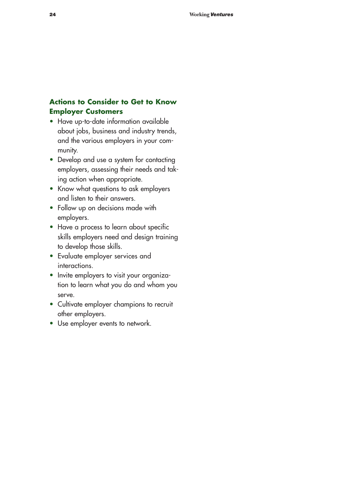#### **Actions to Consider to Get to Know Employer Customers**

- Have up-to-date information available about jobs, business and industry trends, and the various employers in your community.
- Develop and use a system for contacting employers, assessing their needs and taking action when appropriate.
- Know what questions to ask employers and listen to their answers.
- Follow up on decisions made with employers.
- Have a process to learn about specific skills employers need and design training to develop those skills.
- Evaluate employer services and interactions.
- Invite employers to visit your organization to learn what you do and whom you serve.
- Cultivate employer champions to recruit other employers.
- Use employer events to network.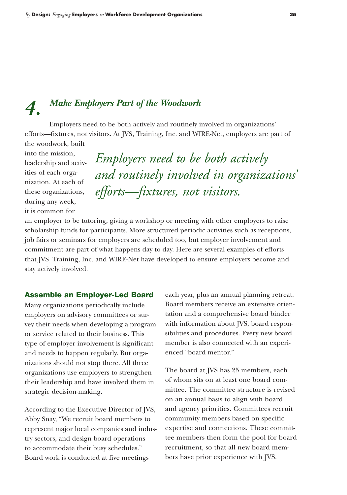## *4. Make Employers Part of the Woodwork*

Employers need to be both actively and routinely involved in organizations' efforts—fixtures, not visitors. At JVS, Training, Inc. and WIRE-Net, employers are part of the woodwork, built

into the mission, leadership and activities of each organization. At each of these organizations, during any week, it is common for

*Employers need to be both actively and routinely involved in organizations' efforts—fixtures, not visitors.*

an employer to be tutoring, giving a workshop or meeting with other employers to raise scholarship funds for participants. More structured periodic activities such as receptions, job fairs or seminars for employers are scheduled too, but employer involvement and commitment are part of what happens day to day. Here are several examples of efforts that JVS, Training, Inc. and WIRE-Net have developed to ensure employers become and stay actively involved.

#### Assemble an Employer-Led Board

Many organizations periodically include employers on advisory committees or survey their needs when developing a program or service related to their business. This type of employer involvement is significant and needs to happen regularly. But organizations should not stop there. All three organizations use employers to strengthen their leadership and have involved them in strategic decision-making.

According to the Executive Director of JVS, Abby Snay, "We recruit board members to represent major local companies and industry sectors, and design board operations to accommodate their busy schedules." Board work is conducted at five meetings

each year, plus an annual planning retreat. Board members receive an extensive orientation and a comprehensive board binder with information about JVS, board responsibilities and procedures. Every new board member is also connected with an experienced "board mentor."

The board at JVS has 25 members, each of whom sits on at least one board committee. The committee structure is revised on an annual basis to align with board and agency priorities. Committees recruit community members based on specific expertise and connections. These committee members then form the pool for board recruitment, so that all new board members have prior experience with JVS.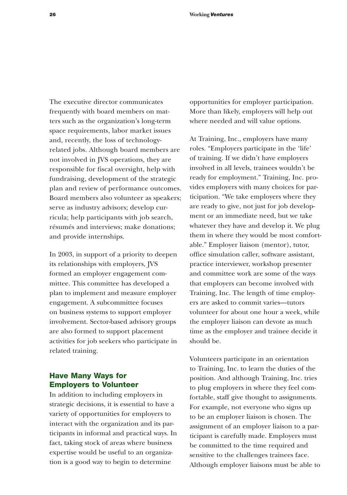The executive director communicates frequently with board members on matters such as the organization's long-term space requirements, labor market issues and, recently, the loss of technologyrelated jobs. Although board members are not involved in JVS operations, they are responsible for fiscal oversight, help with fundraising, development of the strategic plan and review of performance outcomes. Board members also volunteer as speakers; serve as industry advisors; develop curricula; help participants with job search, résumés and interviews; make donations; and provide internships.

In 2003, in support of a priority to deepen its relationships with employers, JVS formed an employer engagement committee. This committee has developed a plan to implement and measure employer engagement. A subcommittee focuses on business systems to support employer involvement. Sector-based advisory groups are also formed to support placement activities for job seekers who participate in related training.

#### Have Many Ways for Employers to Volunteer

In addition to including employers in strategic decisions, it is essential to have a variety of opportunities for employers to interact with the organization and its participants in informal and practical ways. In fact, taking stock of areas where business expertise would be useful to an organization is a good way to begin to determine

opportunities for employer participation. More than likely, employers will help out where needed and will value options.

At Training, Inc., employers have many roles. "Employers participate in the 'life' of training. If we didn't have employers involved in all levels, trainees wouldn't be ready for employment." Training, Inc. provides employers with many choices for participation. "We take employers where they are ready to give, not just for job development or an immediate need, but we take whatever they have and develop it. We plug them in where they would be most comfortable." Employer liaison (mentor), tutor, office simulation caller, software assistant, practice interviewer, workshop presenter and committee work are some of the ways that employers can become involved with Training, Inc. The length of time employers are asked to commit varies—tutors volunteer for about one hour a week, while the employer liaison can devote as much time as the employer and trainee decide it should be.

Volunteers participate in an orientation to Training, Inc. to learn the duties of the position. And although Training, Inc. tries to plug employers in where they feel comfortable, staff give thought to assignments. For example, not everyone who signs up to be an employer liaison is chosen. The assignment of an employer liaison to a participant is carefully made. Employers must be committed to the time required and sensitive to the challenges trainees face. Although employer liaisons must be able to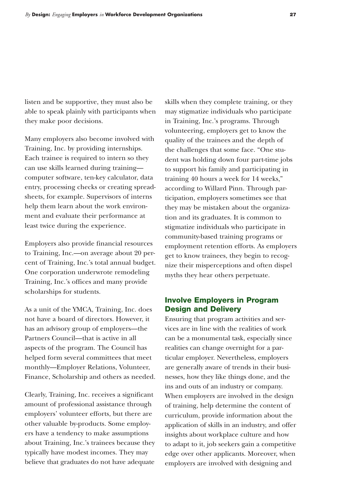listen and be supportive, they must also be able to speak plainly with participants when they make poor decisions.

Many employers also become involved with Training, Inc. by providing internships. Each trainee is required to intern so they can use skills learned during training computer software, ten-key calculator, data entry, processing checks or creating spreadsheets, for example. Supervisors of interns help them learn about the work environment and evaluate their performance at least twice during the experience.

Employers also provide financial resources to Training, Inc.—on average about 20 percent of Training, Inc.'s total annual budget. One corporation underwrote remodeling Training, Inc.'s offices and many provide scholarships for students.

As a unit of the YMCA, Training, Inc. does not have a board of directors. However, it has an advisory group of employers—the Partners Council—that is active in all aspects of the program. The Council has helped form several committees that meet monthly—Employer Relations, Volunteer, Finance, Scholarship and others as needed.

Clearly, Training, Inc. receives a significant amount of professional assistance through employers' volunteer efforts, but there are other valuable by-products. Some employers have a tendency to make assumptions about Training, Inc.'s trainees because they typically have modest incomes. They may believe that graduates do not have adequate

skills when they complete training, or they may stigmatize individuals who participate in Training, Inc.'s programs. Through volunteering, employers get to know the quality of the trainees and the depth of the challenges that some face. "One student was holding down four part-time jobs to support his family and participating in training 40 hours a week for 14 weeks," according to Willard Pinn. Through participation, employers sometimes see that they may be mistaken about the organization and its graduates. It is common to stigmatize individuals who participate in community-based training programs or employment retention efforts. As employers get to know trainees, they begin to recognize their misperceptions and often dispel myths they hear others perpetuate.

#### Involve Employers in Program Design and Delivery

Ensuring that program activities and services are in line with the realities of work can be a monumental task, especially since realities can change overnight for a particular employer. Nevertheless, employers are generally aware of trends in their businesses, how they like things done, and the ins and outs of an industry or company. When employers are involved in the design of training, help determine the content of curriculum, provide information about the application of skills in an industry, and offer insights about workplace culture and how to adapt to it, job seekers gain a competitive edge over other applicants. Moreover, when employers are involved with designing and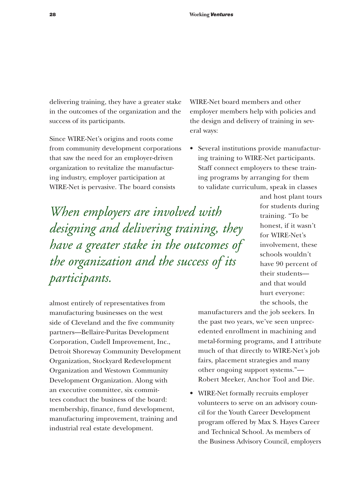delivering training, they have a greater stake in the outcomes of the organization and the success of its participants.

Since WIRE-Net's origins and roots come from community development corporations that saw the need for an employer-driven organization to revitalize the manufacturing industry, employer participation at WIRE-Net is pervasive. The board consists

*When employers are involved with designing and delivering training, they have a greater stake in the outcomes of the organization and the success of its participants.*

almost entirely of representatives from manufacturing businesses on the west side of Cleveland and the five community partners—Bellaire-Puritas Development Corporation, Cudell Improvement, Inc., Detroit Shoreway Community Development Organization, Stockyard Redevelopment Organization and Westown Community Development Organization. Along with an executive committee, six committees conduct the business of the board: membership, finance, fund development, manufacturing improvement, training and industrial real estate development.

WIRE-Net board members and other employer members help with policies and the design and delivery of training in several ways:

• Several institutions provide manufacturing training to WIRE-Net participants. Staff connect employers to these training programs by arranging for them to validate curriculum, speak in classes

> and host plant tours for students during training. "To be honest, if it wasn't for WIRE-Net's involvement, these schools wouldn't have 90 percent of their students and that would hurt everyone: the schools, the

manufacturers and the job seekers. In the past two years, we've seen unprecedented enrollment in machining and metal-forming programs, and I attribute much of that directly to WIRE-Net's job fairs, placement strategies and many other ongoing support systems."— Robert Meeker, Anchor Tool and Die.

• WIRE-Net formally recruits employer volunteers to serve on an advisory council for the Youth Career Development program offered by Max S. Hayes Career and Technical School. As members of the Business Advisory Council, employers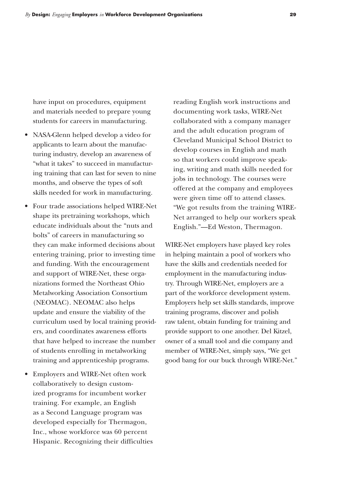have input on procedures, equipment and materials needed to prepare young students for careers in manufacturing.

- NASA-Glenn helped develop a video for applicants to learn about the manufacturing industry, develop an awareness of "what it takes" to succeed in manufacturing training that can last for seven to nine months, and observe the types of soft skills needed for work in manufacturing.
- Four trade associations helped WIRE-Net shape its pretraining workshops, which educate individuals about the "nuts and bolts" of careers in manufacturing so they can make informed decisions about entering training, prior to investing time and funding. With the encouragement and support of WIRE-Net, these organizations formed the Northeast Ohio Metalworking Association Consortium (NEOMAC). NEOMAC also helps update and ensure the viability of the curriculum used by local training providers, and coordinates awareness efforts that have helped to increase the number of students enrolling in metalworking training and apprenticeship programs.
- Employers and WIRE-Net often work collaboratively to design customized programs for incumbent worker training. For example, an English as a Second Language program was developed especially for Thermagon, Inc., whose workforce was 60 percent Hispanic. Recognizing their difficulties

reading English work instructions and documenting work tasks, WIRE-Net collaborated with a company manager and the adult education program of Cleveland Municipal School District to develop courses in English and math so that workers could improve speaking, writing and math skills needed for jobs in technology. The courses were offered at the company and employees were given time off to attend classes. "We got results from the training WIRE-Net arranged to help our workers speak English."—Ed Weston, Thermagon.

WIRE-Net employers have played key roles in helping maintain a pool of workers who have the skills and credentials needed for employment in the manufacturing industry. Through WIRE-Net, employers are a part of the workforce development system. Employers help set skills standards, improve training programs, discover and polish raw talent, obtain funding for training and provide support to one another. Del Kitzel, owner of a small tool and die company and member of WIRE-Net, simply says, "We get good bang for our buck through WIRE-Net."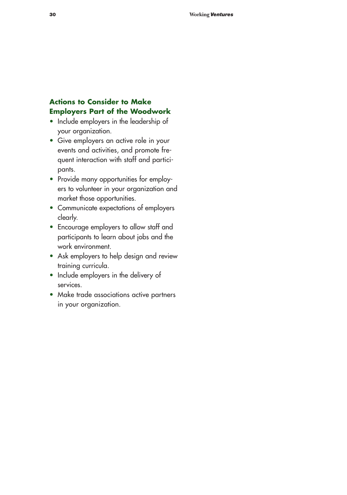#### **Actions to Consider to Make Employers Part of the Woodwork**

- Include employers in the leadership of your organization.
- Give employers an active role in your events and activities, and promote frequent interaction with staff and participants.
- Provide many opportunities for employers to volunteer in your organization and market those opportunities.
- Communicate expectations of employers clearly.
- Encourage employers to allow staff and participants to learn about jobs and the work environment.
- Ask employers to help design and review training curricula.
- Include employers in the delivery of services.
- Make trade associations active partners in your organization.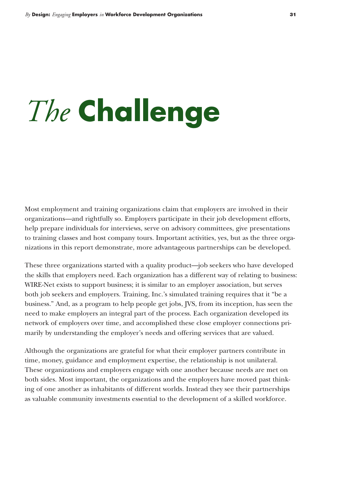## *The* **Challenge**

Most employment and training organizations claim that employers are involved in their organizations—and rightfully so. Employers participate in their job development efforts, help prepare individuals for interviews, serve on advisory committees, give presentations to training classes and host company tours. Important activities, yes, but as the three organizations in this report demonstrate, more advantageous partnerships can be developed.

These three organizations started with a quality product—job seekers who have developed the skills that employers need. Each organization has a different way of relating to business: WIRE-Net exists to support business; it is similar to an employer association, but serves both job seekers and employers. Training, Inc.'s simulated training requires that it "be a business." And, as a program to help people get jobs, JVS, from its inception, has seen the need to make employers an integral part of the process. Each organization developed its network of employers over time, and accomplished these close employer connections primarily by understanding the employer's needs and offering services that are valued.

Although the organizations are grateful for what their employer partners contribute in time, money, guidance and employment expertise, the relationship is not unilateral. These organizations and employers engage with one another because needs are met on both sides. Most important, the organizations and the employers have moved past thinking of one another as inhabitants of different worlds. Instead they see their partnerships as valuable community investments essential to the development of a skilled workforce.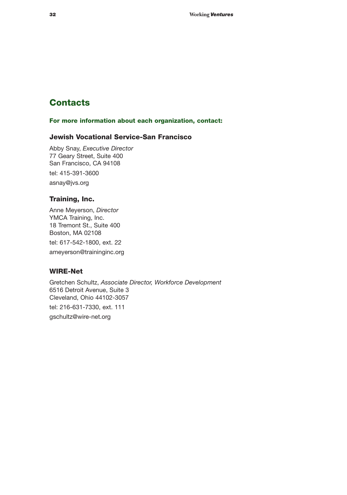#### **Contacts**

#### For more information about each organization, contact:

#### Jewish Vocational Service-San Francisco

Abby Snay, *Executive Director* 77 Geary Street, Suite 400 San Francisco, CA 94108 tel: 415-391-3600 asnay@jvs.org

#### Training, Inc.

Anne Meyerson, *Director* YMCA Training, Inc. 18 Tremont St., Suite 400 Boston, MA 02108

tel: 617-542-1800, ext. 22

ameyerson@traininginc.org

#### WIRE-Net

Gretchen Schultz, *Associate Director, Workforce Development* 6516 Detroit Avenue, Suite 3 Cleveland, Ohio 44102-3057

tel: 216-631-7330, ext. 111 gschultz@wire-net.org